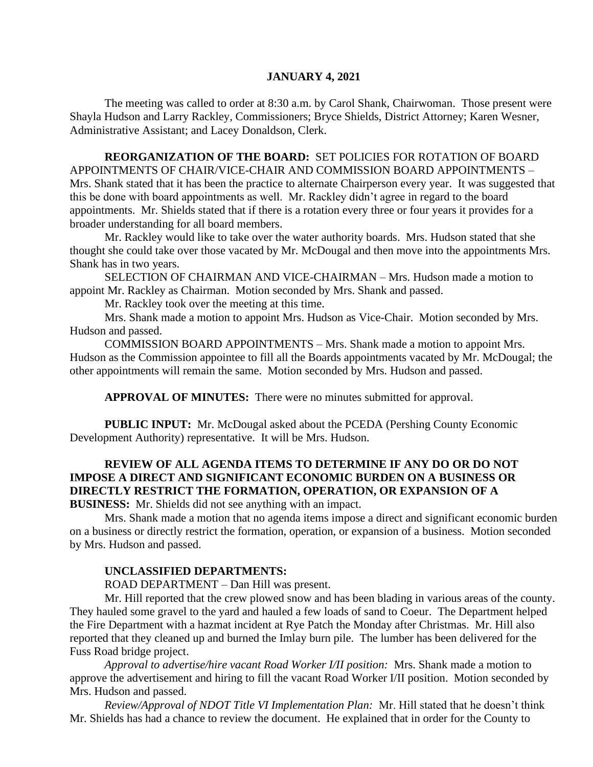#### **JANUARY 4, 2021**

The meeting was called to order at 8:30 a.m. by Carol Shank, Chairwoman. Those present were Shayla Hudson and Larry Rackley, Commissioners; Bryce Shields, District Attorney; Karen Wesner, Administrative Assistant; and Lacey Donaldson, Clerk.

**REORGANIZATION OF THE BOARD:** SET POLICIES FOR ROTATION OF BOARD APPOINTMENTS OF CHAIR/VICE-CHAIR AND COMMISSION BOARD APPOINTMENTS – Mrs. Shank stated that it has been the practice to alternate Chairperson every year. It was suggested that this be done with board appointments as well. Mr. Rackley didn't agree in regard to the board appointments. Mr. Shields stated that if there is a rotation every three or four years it provides for a broader understanding for all board members.

Mr. Rackley would like to take over the water authority boards. Mrs. Hudson stated that she thought she could take over those vacated by Mr. McDougal and then move into the appointments Mrs. Shank has in two years.

SELECTION OF CHAIRMAN AND VICE-CHAIRMAN – Mrs. Hudson made a motion to appoint Mr. Rackley as Chairman. Motion seconded by Mrs. Shank and passed.

Mr. Rackley took over the meeting at this time.

Mrs. Shank made a motion to appoint Mrs. Hudson as Vice-Chair. Motion seconded by Mrs. Hudson and passed.

COMMISSION BOARD APPOINTMENTS – Mrs. Shank made a motion to appoint Mrs. Hudson as the Commission appointee to fill all the Boards appointments vacated by Mr. McDougal; the other appointments will remain the same. Motion seconded by Mrs. Hudson and passed.

**APPROVAL OF MINUTES:** There were no minutes submitted for approval.

**PUBLIC INPUT:** Mr. McDougal asked about the PCEDA (Pershing County Economic Development Authority) representative. It will be Mrs. Hudson.

# **REVIEW OF ALL AGENDA ITEMS TO DETERMINE IF ANY DO OR DO NOT IMPOSE A DIRECT AND SIGNIFICANT ECONOMIC BURDEN ON A BUSINESS OR DIRECTLY RESTRICT THE FORMATION, OPERATION, OR EXPANSION OF A**

**BUSINESS:** Mr. Shields did not see anything with an impact.

Mrs. Shank made a motion that no agenda items impose a direct and significant economic burden on a business or directly restrict the formation, operation, or expansion of a business. Motion seconded by Mrs. Hudson and passed.

#### **UNCLASSIFIED DEPARTMENTS:**

ROAD DEPARTMENT – Dan Hill was present.

Mr. Hill reported that the crew plowed snow and has been blading in various areas of the county. They hauled some gravel to the yard and hauled a few loads of sand to Coeur. The Department helped the Fire Department with a hazmat incident at Rye Patch the Monday after Christmas. Mr. Hill also reported that they cleaned up and burned the Imlay burn pile. The lumber has been delivered for the Fuss Road bridge project.

*Approval to advertise/hire vacant Road Worker I/II position:* Mrs. Shank made a motion to approve the advertisement and hiring to fill the vacant Road Worker I/II position. Motion seconded by Mrs. Hudson and passed.

*Review/Approval of NDOT Title VI Implementation Plan:* Mr. Hill stated that he doesn't think Mr. Shields has had a chance to review the document. He explained that in order for the County to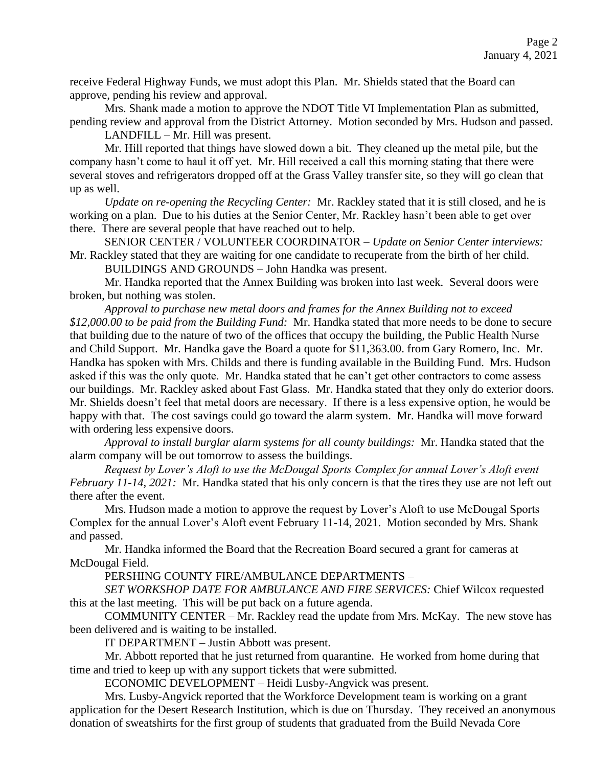receive Federal Highway Funds, we must adopt this Plan. Mr. Shields stated that the Board can approve, pending his review and approval.

Mrs. Shank made a motion to approve the NDOT Title VI Implementation Plan as submitted, pending review and approval from the District Attorney. Motion seconded by Mrs. Hudson and passed.

LANDFILL – Mr. Hill was present.

Mr. Hill reported that things have slowed down a bit. They cleaned up the metal pile, but the company hasn't come to haul it off yet. Mr. Hill received a call this morning stating that there were several stoves and refrigerators dropped off at the Grass Valley transfer site, so they will go clean that up as well.

*Update on re-opening the Recycling Center:* Mr. Rackley stated that it is still closed, and he is working on a plan. Due to his duties at the Senior Center, Mr. Rackley hasn't been able to get over there. There are several people that have reached out to help.

SENIOR CENTER / VOLUNTEER COORDINATOR – *Update on Senior Center interviews:*  Mr. Rackley stated that they are waiting for one candidate to recuperate from the birth of her child.

BUILDINGS AND GROUNDS – John Handka was present.

Mr. Handka reported that the Annex Building was broken into last week. Several doors were broken, but nothing was stolen.

*Approval to purchase new metal doors and frames for the Annex Building not to exceed \$12,000.00 to be paid from the Building Fund:* Mr. Handka stated that more needs to be done to secure that building due to the nature of two of the offices that occupy the building, the Public Health Nurse and Child Support. Mr. Handka gave the Board a quote for \$11,363.00. from Gary Romero, Inc. Mr. Handka has spoken with Mrs. Childs and there is funding available in the Building Fund. Mrs. Hudson asked if this was the only quote. Mr. Handka stated that he can't get other contractors to come assess our buildings. Mr. Rackley asked about Fast Glass. Mr. Handka stated that they only do exterior doors. Mr. Shields doesn't feel that metal doors are necessary. If there is a less expensive option, he would be happy with that. The cost savings could go toward the alarm system. Mr. Handka will move forward with ordering less expensive doors.

*Approval to install burglar alarm systems for all county buildings:* Mr. Handka stated that the alarm company will be out tomorrow to assess the buildings.

*Request by Lover's Aloft to use the McDougal Sports Complex for annual Lover's Aloft event February 11-14, 2021:* Mr. Handka stated that his only concern is that the tires they use are not left out there after the event.

Mrs. Hudson made a motion to approve the request by Lover's Aloft to use McDougal Sports Complex for the annual Lover's Aloft event February 11-14, 2021. Motion seconded by Mrs. Shank and passed.

Mr. Handka informed the Board that the Recreation Board secured a grant for cameras at McDougal Field.

PERSHING COUNTY FIRE/AMBULANCE DEPARTMENTS –

*SET WORKSHOP DATE FOR AMBULANCE AND FIRE SERVICES:* Chief Wilcox requested this at the last meeting. This will be put back on a future agenda.

COMMUNITY CENTER – Mr. Rackley read the update from Mrs. McKay. The new stove has been delivered and is waiting to be installed.

IT DEPARTMENT – Justin Abbott was present.

Mr. Abbott reported that he just returned from quarantine. He worked from home during that time and tried to keep up with any support tickets that were submitted.

ECONOMIC DEVELOPMENT – Heidi Lusby-Angvick was present.

Mrs. Lusby-Angvick reported that the Workforce Development team is working on a grant application for the Desert Research Institution, which is due on Thursday. They received an anonymous donation of sweatshirts for the first group of students that graduated from the Build Nevada Core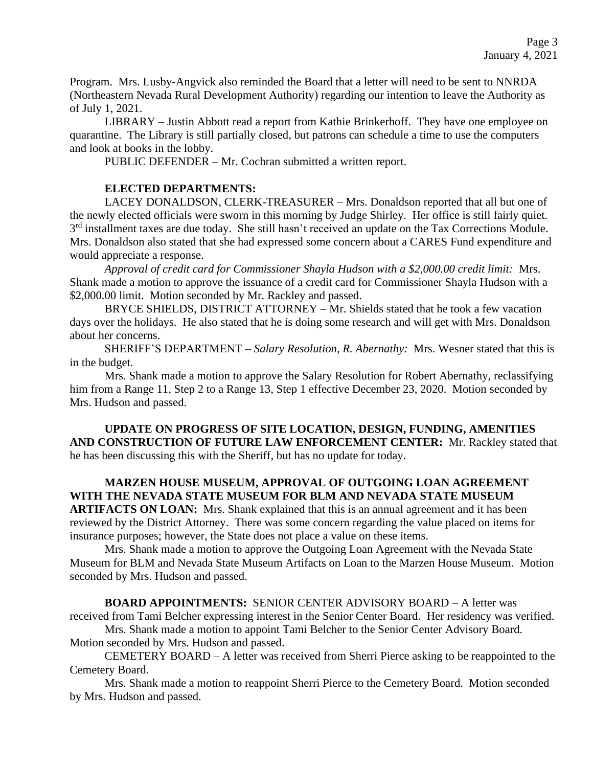Program. Mrs. Lusby-Angvick also reminded the Board that a letter will need to be sent to NNRDA (Northeastern Nevada Rural Development Authority) regarding our intention to leave the Authority as of July 1, 2021.

LIBRARY – Justin Abbott read a report from Kathie Brinkerhoff. They have one employee on quarantine. The Library is still partially closed, but patrons can schedule a time to use the computers and look at books in the lobby.

PUBLIC DEFENDER – Mr. Cochran submitted a written report.

#### **ELECTED DEPARTMENTS:**

LACEY DONALDSON, CLERK-TREASURER – Mrs. Donaldson reported that all but one of the newly elected officials were sworn in this morning by Judge Shirley. Her office is still fairly quiet. 3<sup>rd</sup> installment taxes are due today. She still hasn't received an update on the Tax Corrections Module. Mrs. Donaldson also stated that she had expressed some concern about a CARES Fund expenditure and would appreciate a response.

*Approval of credit card for Commissioner Shayla Hudson with a \$2,000.00 credit limit:* Mrs. Shank made a motion to approve the issuance of a credit card for Commissioner Shayla Hudson with a \$2,000.00 limit. Motion seconded by Mr. Rackley and passed.

BRYCE SHIELDS, DISTRICT ATTORNEY – Mr. Shields stated that he took a few vacation days over the holidays. He also stated that he is doing some research and will get with Mrs. Donaldson about her concerns.

SHERIFF'S DEPARTMENT – *Salary Resolution, R. Abernathy:* Mrs. Wesner stated that this is in the budget.

Mrs. Shank made a motion to approve the Salary Resolution for Robert Abernathy, reclassifying him from a Range 11, Step 2 to a Range 13, Step 1 effective December 23, 2020. Motion seconded by Mrs. Hudson and passed.

**UPDATE ON PROGRESS OF SITE LOCATION, DESIGN, FUNDING, AMENITIES AND CONSTRUCTION OF FUTURE LAW ENFORCEMENT CENTER:** Mr. Rackley stated that he has been discussing this with the Sheriff, but has no update for today.

## **MARZEN HOUSE MUSEUM, APPROVAL OF OUTGOING LOAN AGREEMENT WITH THE NEVADA STATE MUSEUM FOR BLM AND NEVADA STATE MUSEUM**

**ARTIFACTS ON LOAN:** Mrs. Shank explained that this is an annual agreement and it has been reviewed by the District Attorney. There was some concern regarding the value placed on items for insurance purposes; however, the State does not place a value on these items.

Mrs. Shank made a motion to approve the Outgoing Loan Agreement with the Nevada State Museum for BLM and Nevada State Museum Artifacts on Loan to the Marzen House Museum. Motion seconded by Mrs. Hudson and passed.

**BOARD APPOINTMENTS:** SENIOR CENTER ADVISORY BOARD – A letter was received from Tami Belcher expressing interest in the Senior Center Board. Her residency was verified.

Mrs. Shank made a motion to appoint Tami Belcher to the Senior Center Advisory Board. Motion seconded by Mrs. Hudson and passed.

CEMETERY BOARD – A letter was received from Sherri Pierce asking to be reappointed to the Cemetery Board.

Mrs. Shank made a motion to reappoint Sherri Pierce to the Cemetery Board. Motion seconded by Mrs. Hudson and passed.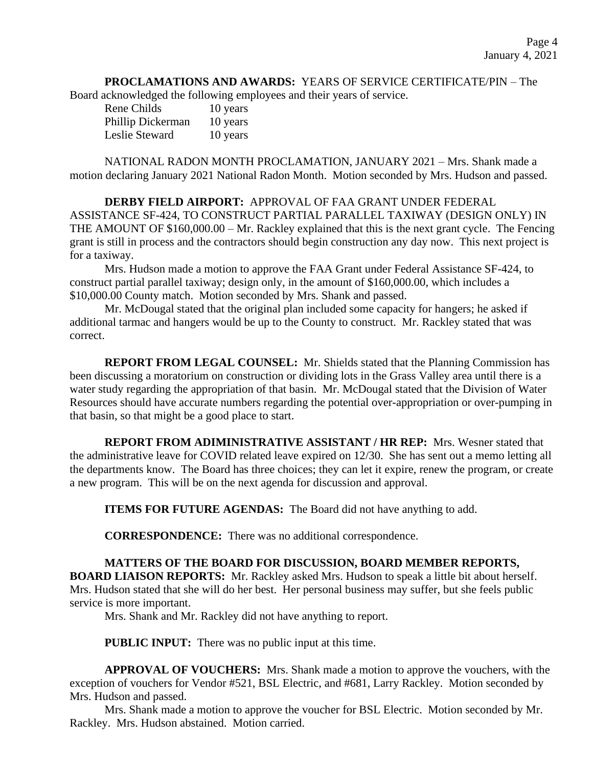**PROCLAMATIONS AND AWARDS:** YEARS OF SERVICE CERTIFICATE/PIN – The Board acknowledged the following employees and their years of service.

| Rene Childs       | 10 years |
|-------------------|----------|
| Phillip Dickerman | 10 years |
| Leslie Steward    | 10 years |

NATIONAL RADON MONTH PROCLAMATION, JANUARY 2021 – Mrs. Shank made a motion declaring January 2021 National Radon Month. Motion seconded by Mrs. Hudson and passed.

**DERBY FIELD AIRPORT:** APPROVAL OF FAA GRANT UNDER FEDERAL ASSISTANCE SF-424, TO CONSTRUCT PARTIAL PARALLEL TAXIWAY (DESIGN ONLY) IN THE AMOUNT OF \$160,000.00 – Mr. Rackley explained that this is the next grant cycle. The Fencing grant is still in process and the contractors should begin construction any day now. This next project is for a taxiway.

Mrs. Hudson made a motion to approve the FAA Grant under Federal Assistance SF-424, to construct partial parallel taxiway; design only, in the amount of \$160,000.00, which includes a \$10,000.00 County match. Motion seconded by Mrs. Shank and passed.

Mr. McDougal stated that the original plan included some capacity for hangers; he asked if additional tarmac and hangers would be up to the County to construct. Mr. Rackley stated that was correct.

**REPORT FROM LEGAL COUNSEL:** Mr. Shields stated that the Planning Commission has been discussing a moratorium on construction or dividing lots in the Grass Valley area until there is a water study regarding the appropriation of that basin. Mr. McDougal stated that the Division of Water Resources should have accurate numbers regarding the potential over-appropriation or over-pumping in that basin, so that might be a good place to start.

**REPORT FROM ADIMINISTRATIVE ASSISTANT / HR REP:** Mrs. Wesner stated that the administrative leave for COVID related leave expired on 12/30. She has sent out a memo letting all the departments know. The Board has three choices; they can let it expire, renew the program, or create a new program. This will be on the next agenda for discussion and approval.

**ITEMS FOR FUTURE AGENDAS:** The Board did not have anything to add.

**CORRESPONDENCE:** There was no additional correspondence.

 **MATTERS OF THE BOARD FOR DISCUSSION, BOARD MEMBER REPORTS, BOARD LIAISON REPORTS:** Mr. Rackley asked Mrs. Hudson to speak a little bit about herself. Mrs. Hudson stated that she will do her best. Her personal business may suffer, but she feels public service is more important.

Mrs. Shank and Mr. Rackley did not have anything to report.

**PUBLIC INPUT:** There was no public input at this time.

**APPROVAL OF VOUCHERS:** Mrs. Shank made a motion to approve the vouchers, with the exception of vouchers for Vendor #521, BSL Electric, and #681, Larry Rackley. Motion seconded by Mrs. Hudson and passed.

Mrs. Shank made a motion to approve the voucher for BSL Electric. Motion seconded by Mr. Rackley. Mrs. Hudson abstained. Motion carried.